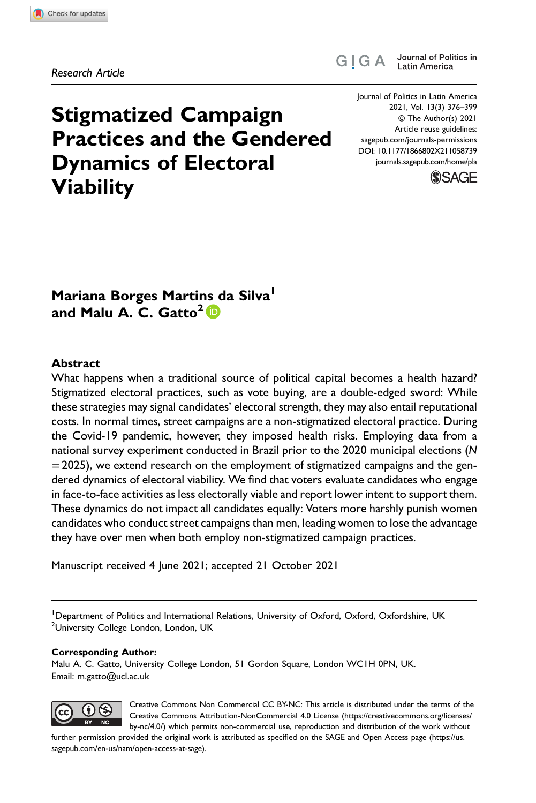Research Article

# Stigmatized Campaign Practices and the Gendered Dynamics of Electoral Viability

Journal of Politics in Latin America 2021, Vol. 13(3) 376–399 © The Author(s) 2021 Article reuse guidelines: [sagepub.com/journals-permissions](https://us.sagepub.com/en-us/journals-permissions) DOI: 10.1177/1866802X211058739 [journals.sagepub.com/home/pla](https://journals.sagepub.com/home/pla)

G | G A | Journal of Politics in



# Mariana Borges Marti[ns](https://orcid.org/0000-0003-4056-5770) [d](https://orcid.org/0000-0003-4056-5770)a Silva<sup>1</sup> and Malu A. C. Gatto<sup>2</sup>  $\mathbb D$

## Abstract

What happens when a traditional source of political capital becomes a health hazard? Stigmatized electoral practices, such as vote buying, are a double-edged sword: While these strategies may signal candidates' electoral strength, they may also entail reputational costs. In normal times, street campaigns are a non-stigmatized electoral practice. During the Covid-19 pandemic, however, they imposed health risks. Employing data from a national survey experiment conducted in Brazil prior to the 2020 municipal elections (N  $=$  2025), we extend research on the employment of stigmatized campaigns and the gendered dynamics of electoral viability. We find that voters evaluate candidates who engage in face-to-face activities as less electorally viable and report lower intent to support them. These dynamics do not impact all candidates equally: Voters more harshly punish women candidates who conduct street campaigns than men, leading women to lose the advantage they have over men when both employ non-stigmatized campaign practices.

Manuscript received 4 June 2021; accepted 21 October 2021

<sup>1</sup>Department of Politics and International Relations, University of Oxford, Oxford, Oxfordshire, UK <sup>2</sup>University College London, London, UK

#### Corresponding Author:

Malu A. C. Gatto, University College London, 51 Gordon Square, London WC1H 0PN, UK. Email: [m.gatto@ucl.ac.uk](mailto:m.gatto@ucl.ac.uk)



Creative Commons Non Commercial CC BY-NC: This article is distributed under the terms of the Creative Commons Attribution-NonCommercial 4.0 License [\(https://creativecommons.org/licenses/](https://creativecommons.org/licenses/by-nc/4.0/) [by-nc/4.0/\) which permits non-commercial use, reproduction and distribution of the work without](https://creativecommons.org/licenses/by-nc/4.0/)

[further permission provided the original work is attributed as speci](https://us.sagepub.com/en-us/nam/open-access-at-sage)fied on the SAGE and Open Access page (https://us. [sagepub.com/en-us/nam/open-access-at-sage\).](https://us.sagepub.com/en-us/nam/open-access-at-sage)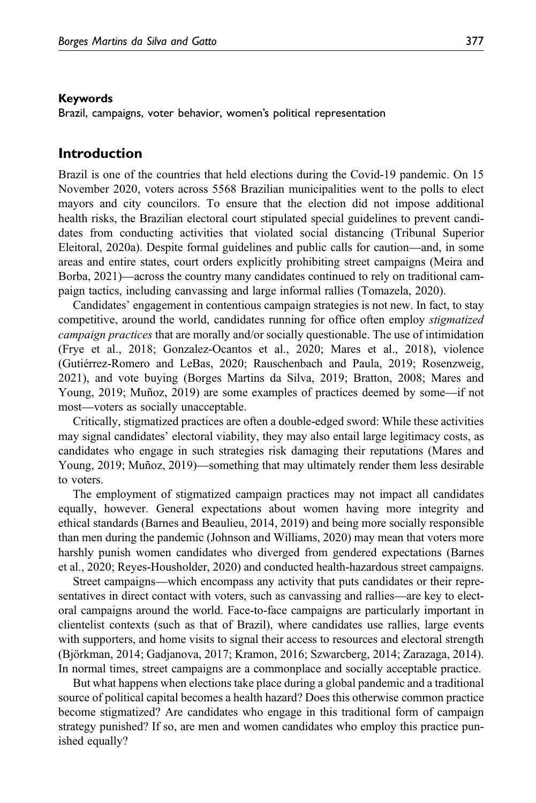#### Keywords

Brazil, campaigns, voter behavior, women's political representation

## Introduction

Brazil is one of the countries that held elections during the Covid-19 pandemic. On 15 November 2020, voters across 5568 Brazilian municipalities went to the polls to elect mayors and city councilors. To ensure that the election did not impose additional health risks, the Brazilian electoral court stipulated special guidelines to prevent candidates from conducting activities that violated social distancing (Tribunal Superior Eleitoral, 2020a). Despite formal guidelines and public calls for caution—and, in some areas and entire states, court orders explicitly prohibiting street campaigns (Meira and Borba, 2021)—across the country many candidates continued to rely on traditional campaign tactics, including canvassing and large informal rallies (Tomazela, 2020).

Candidates' engagement in contentious campaign strategies is not new. In fact, to stay competitive, around the world, candidates running for office often employ stigmatized campaign practices that are morally and/or socially questionable. The use of intimidation (Frye et al., 2018; Gonzalez-Ocantos et al., 2020; Mares et al., 2018), violence (Gutiérrez-Romero and LeBas, 2020; Rauschenbach and Paula, 2019; Rosenzweig, 2021), and vote buying (Borges Martins da Silva, 2019; Bratton, 2008; Mares and Young, 2019; Muñoz, 2019) are some examples of practices deemed by some—if not most—voters as socially unacceptable.

Critically, stigmatized practices are often a double-edged sword: While these activities may signal candidates' electoral viability, they may also entail large legitimacy costs, as candidates who engage in such strategies risk damaging their reputations (Mares and Young, 2019; Muñoz, 2019)—something that may ultimately render them less desirable to voters.

The employment of stigmatized campaign practices may not impact all candidates equally, however. General expectations about women having more integrity and ethical standards (Barnes and Beaulieu, 2014, 2019) and being more socially responsible than men during the pandemic (Johnson and Williams, 2020) may mean that voters more harshly punish women candidates who diverged from gendered expectations (Barnes et al., 2020; Reyes-Housholder, 2020) and conducted health-hazardous street campaigns.

Street campaigns—which encompass any activity that puts candidates or their representatives in direct contact with voters, such as canvassing and rallies—are key to electoral campaigns around the world. Face-to-face campaigns are particularly important in clientelist contexts (such as that of Brazil), where candidates use rallies, large events with supporters, and home visits to signal their access to resources and electoral strength (Björkman, 2014; Gadjanova, 2017; Kramon, 2016; Szwarcberg, 2014; Zarazaga, 2014). In normal times, street campaigns are a commonplace and socially acceptable practice.

But what happens when elections take place during a global pandemic and a traditional source of political capital becomes a health hazard? Does this otherwise common practice become stigmatized? Are candidates who engage in this traditional form of campaign strategy punished? If so, are men and women candidates who employ this practice punished equally?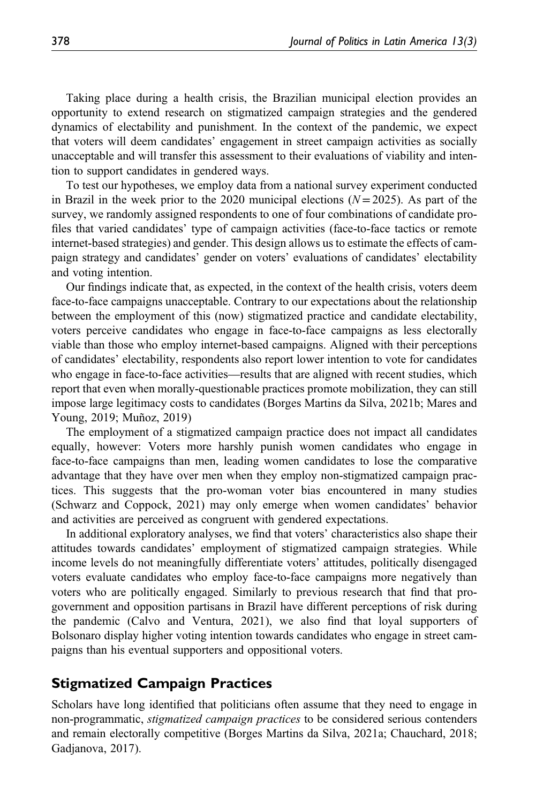Taking place during a health crisis, the Brazilian municipal election provides an opportunity to extend research on stigmatized campaign strategies and the gendered dynamics of electability and punishment. In the context of the pandemic, we expect that voters will deem candidates' engagement in street campaign activities as socially unacceptable and will transfer this assessment to their evaluations of viability and intention to support candidates in gendered ways.

To test our hypotheses, we employ data from a national survey experiment conducted in Brazil in the week prior to the 2020 municipal elections  $(N=2025)$ . As part of the survey, we randomly assigned respondents to one of four combinations of candidate profiles that varied candidates' type of campaign activities (face-to-face tactics or remote internet-based strategies) and gender. This design allows us to estimate the effects of campaign strategy and candidates' gender on voters' evaluations of candidates' electability and voting intention.

Our findings indicate that, as expected, in the context of the health crisis, voters deem face-to-face campaigns unacceptable. Contrary to our expectations about the relationship between the employment of this (now) stigmatized practice and candidate electability, voters perceive candidates who engage in face-to-face campaigns as less electorally viable than those who employ internet-based campaigns. Aligned with their perceptions of candidates' electability, respondents also report lower intention to vote for candidates who engage in face-to-face activities—results that are aligned with recent studies, which report that even when morally-questionable practices promote mobilization, they can still impose large legitimacy costs to candidates (Borges Martins da Silva, 2021b; Mares and Young, 2019; Muñoz, 2019)

The employment of a stigmatized campaign practice does not impact all candidates equally, however: Voters more harshly punish women candidates who engage in face-to-face campaigns than men, leading women candidates to lose the comparative advantage that they have over men when they employ non-stigmatized campaign practices. This suggests that the pro-woman voter bias encountered in many studies (Schwarz and Coppock, 2021) may only emerge when women candidates' behavior and activities are perceived as congruent with gendered expectations.

In additional exploratory analyses, we find that voters' characteristics also shape their attitudes towards candidates' employment of stigmatized campaign strategies. While income levels do not meaningfully differentiate voters' attitudes, politically disengaged voters evaluate candidates who employ face-to-face campaigns more negatively than voters who are politically engaged. Similarly to previous research that find that progovernment and opposition partisans in Brazil have different perceptions of risk during the pandemic (Calvo and Ventura, 2021), we also find that loyal supporters of Bolsonaro display higher voting intention towards candidates who engage in street campaigns than his eventual supporters and oppositional voters.

# Stigmatized Campaign Practices

Scholars have long identified that politicians often assume that they need to engage in non-programmatic, *stigmatized campaign practices* to be considered serious contenders and remain electorally competitive (Borges Martins da Silva, 2021a; Chauchard, 2018; Gadjanova, 2017).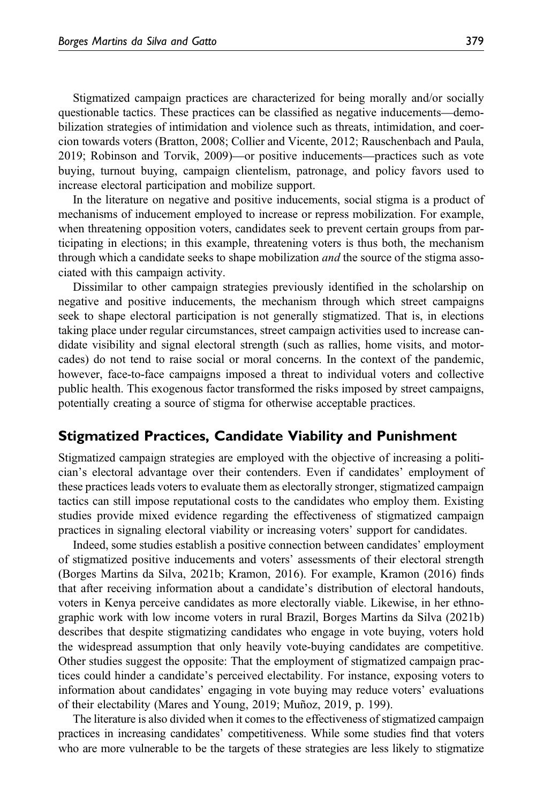Stigmatized campaign practices are characterized for being morally and/or socially questionable tactics. These practices can be classified as negative inducements—demobilization strategies of intimidation and violence such as threats, intimidation, and coercion towards voters (Bratton, 2008; Collier and Vicente, 2012; Rauschenbach and Paula, 2019; Robinson and Torvik, 2009)—or positive inducements—practices such as vote buying, turnout buying, campaign clientelism, patronage, and policy favors used to increase electoral participation and mobilize support.

In the literature on negative and positive inducements, social stigma is a product of mechanisms of inducement employed to increase or repress mobilization. For example, when threatening opposition voters, candidates seek to prevent certain groups from participating in elections; in this example, threatening voters is thus both, the mechanism through which a candidate seeks to shape mobilization *and* the source of the stigma associated with this campaign activity.

Dissimilar to other campaign strategies previously identified in the scholarship on negative and positive inducements, the mechanism through which street campaigns seek to shape electoral participation is not generally stigmatized. That is, in elections taking place under regular circumstances, street campaign activities used to increase candidate visibility and signal electoral strength (such as rallies, home visits, and motorcades) do not tend to raise social or moral concerns. In the context of the pandemic, however, face-to-face campaigns imposed a threat to individual voters and collective public health. This exogenous factor transformed the risks imposed by street campaigns, potentially creating a source of stigma for otherwise acceptable practices.

## Stigmatized Practices, Candidate Viability and Punishment

Stigmatized campaign strategies are employed with the objective of increasing a politician's electoral advantage over their contenders. Even if candidates' employment of these practices leads voters to evaluate them as electorally stronger, stigmatized campaign tactics can still impose reputational costs to the candidates who employ them. Existing studies provide mixed evidence regarding the effectiveness of stigmatized campaign practices in signaling electoral viability or increasing voters' support for candidates.

Indeed, some studies establish a positive connection between candidates' employment of stigmatized positive inducements and voters' assessments of their electoral strength (Borges Martins da Silva, 2021b; Kramon, 2016). For example, Kramon (2016) finds that after receiving information about a candidate's distribution of electoral handouts, voters in Kenya perceive candidates as more electorally viable. Likewise, in her ethnographic work with low income voters in rural Brazil, Borges Martins da Silva (2021b) describes that despite stigmatizing candidates who engage in vote buying, voters hold the widespread assumption that only heavily vote-buying candidates are competitive. Other studies suggest the opposite: That the employment of stigmatized campaign practices could hinder a candidate's perceived electability. For instance, exposing voters to information about candidates' engaging in vote buying may reduce voters' evaluations of their electability (Mares and Young, 2019; Muñoz, 2019, p. 199).

The literature is also divided when it comes to the effectiveness of stigmatized campaign practices in increasing candidates' competitiveness. While some studies find that voters who are more vulnerable to be the targets of these strategies are less likely to stigmatize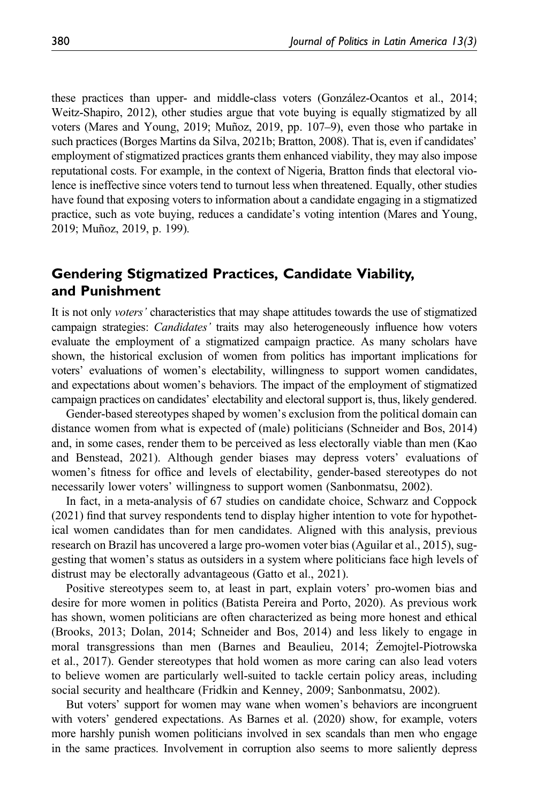these practices than upper- and middle-class voters (González-Ocantos et al., 2014; Weitz-Shapiro, 2012), other studies argue that vote buying is equally stigmatized by all voters (Mares and Young, 2019; Muñoz, 2019, pp. 107–9), even those who partake in such practices (Borges Martins da Silva, 2021b; Bratton, 2008). That is, even if candidates' employment of stigmatized practices grants them enhanced viability, they may also impose reputational costs. For example, in the context of Nigeria, Bratton finds that electoral violence is ineffective since voters tend to turnout less when threatened. Equally, other studies have found that exposing voters to information about a candidate engaging in a stigmatized practice, such as vote buying, reduces a candidate's voting intention (Mares and Young, 2019; Muñoz, 2019, p. 199).

# Gendering Stigmatized Practices, Candidate Viability, and Punishment

It is not only voters' characteristics that may shape attitudes towards the use of stigmatized campaign strategies: *Candidates'* traits may also heterogeneously influence how voters evaluate the employment of a stigmatized campaign practice. As many scholars have shown, the historical exclusion of women from politics has important implications for voters' evaluations of women's electability, willingness to support women candidates, and expectations about women's behaviors. The impact of the employment of stigmatized campaign practices on candidates' electability and electoral support is, thus, likely gendered.

Gender-based stereotypes shaped by women's exclusion from the political domain can distance women from what is expected of (male) politicians (Schneider and Bos, 2014) and, in some cases, render them to be perceived as less electorally viable than men (Kao and Benstead, 2021). Although gender biases may depress voters' evaluations of women's fitness for office and levels of electability, gender-based stereotypes do not necessarily lower voters' willingness to support women (Sanbonmatsu, 2002).

In fact, in a meta-analysis of 67 studies on candidate choice, Schwarz and Coppock (2021) find that survey respondents tend to display higher intention to vote for hypothetical women candidates than for men candidates. Aligned with this analysis, previous research on Brazil has uncovered a large pro-women voter bias (Aguilar et al., 2015), suggesting that women's status as outsiders in a system where politicians face high levels of distrust may be electorally advantageous (Gatto et al., 2021).

Positive stereotypes seem to, at least in part, explain voters' pro-women bias and desire for more women in politics (Batista Pereira and Porto, 2020). As previous work has shown, women politicians are often characterized as being more honest and ethical (Brooks, 2013; Dolan, 2014; Schneider and Bos, 2014) and less likely to engage in moral transgressions than men (Barnes and Beaulieu, 2014; Zemojtel-Piotrowska et al., 2017). Gender stereotypes that hold women as more caring can also lead voters to believe women are particularly well-suited to tackle certain policy areas, including social security and healthcare (Fridkin and Kenney, 2009; Sanbonmatsu, 2002).

But voters' support for women may wane when women's behaviors are incongruent with voters' gendered expectations. As Barnes et al. (2020) show, for example, voters more harshly punish women politicians involved in sex scandals than men who engage in the same practices. Involvement in corruption also seems to more saliently depress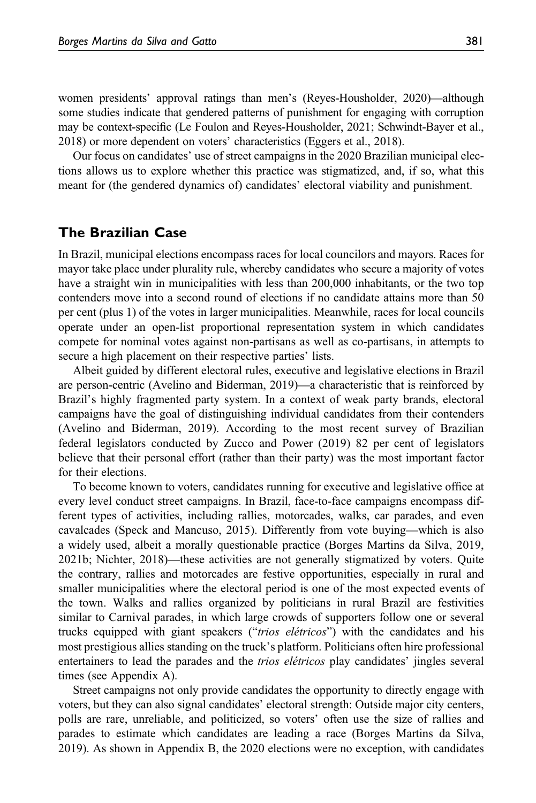women presidents' approval ratings than men's (Reyes-Housholder, 2020)—although some studies indicate that gendered patterns of punishment for engaging with corruption may be context-specific (Le Foulon and Reyes-Housholder, 2021; Schwindt-Bayer et al., 2018) or more dependent on voters' characteristics (Eggers et al., 2018).

Our focus on candidates' use of street campaigns in the 2020 Brazilian municipal elections allows us to explore whether this practice was stigmatized, and, if so, what this meant for (the gendered dynamics of) candidates' electoral viability and punishment.

## The Brazilian Case

In Brazil, municipal elections encompass races for local councilors and mayors. Races for mayor take place under plurality rule, whereby candidates who secure a majority of votes have a straight win in municipalities with less than 200,000 inhabitants, or the two top contenders move into a second round of elections if no candidate attains more than 50 per cent (plus 1) of the votes in larger municipalities. Meanwhile, races for local councils operate under an open-list proportional representation system in which candidates compete for nominal votes against non-partisans as well as co-partisans, in attempts to secure a high placement on their respective parties' lists.

Albeit guided by different electoral rules, executive and legislative elections in Brazil are person-centric (Avelino and Biderman, 2019)—a characteristic that is reinforced by Brazil's highly fragmented party system. In a context of weak party brands, electoral campaigns have the goal of distinguishing individual candidates from their contenders (Avelino and Biderman, 2019). According to the most recent survey of Brazilian federal legislators conducted by Zucco and Power (2019) 82 per cent of legislators believe that their personal effort (rather than their party) was the most important factor for their elections.

To become known to voters, candidates running for executive and legislative office at every level conduct street campaigns. In Brazil, face-to-face campaigns encompass different types of activities, including rallies, motorcades, walks, car parades, and even cavalcades (Speck and Mancuso, 2015). Differently from vote buying—which is also a widely used, albeit a morally questionable practice (Borges Martins da Silva, 2019, 2021b; Nichter, 2018)—these activities are not generally stigmatized by voters. Quite the contrary, rallies and motorcades are festive opportunities, especially in rural and smaller municipalities where the electoral period is one of the most expected events of the town. Walks and rallies organized by politicians in rural Brazil are festivities similar to Carnival parades, in which large crowds of supporters follow one or several trucks equipped with giant speakers ("trios elétricos") with the candidates and his most prestigious allies standing on the truck's platform. Politicians often hire professional entertainers to lead the parades and the trios elétricos play candidates' jingles several times (see [Appendix A\)](https://journals.sagepub.com/doi/suppl/10.1177/1866802X211058739).

Street campaigns not only provide candidates the opportunity to directly engage with voters, but they can also signal candidates' electoral strength: Outside major city centers, polls are rare, unreliable, and politicized, so voters' often use the size of rallies and parades to estimate which candidates are leading a race (Borges Martins da Silva, 2019). As shown in [Appendix B](https://journals.sagepub.com/doi/suppl/10.1177/1866802X211058739), the 2020 elections were no exception, with candidates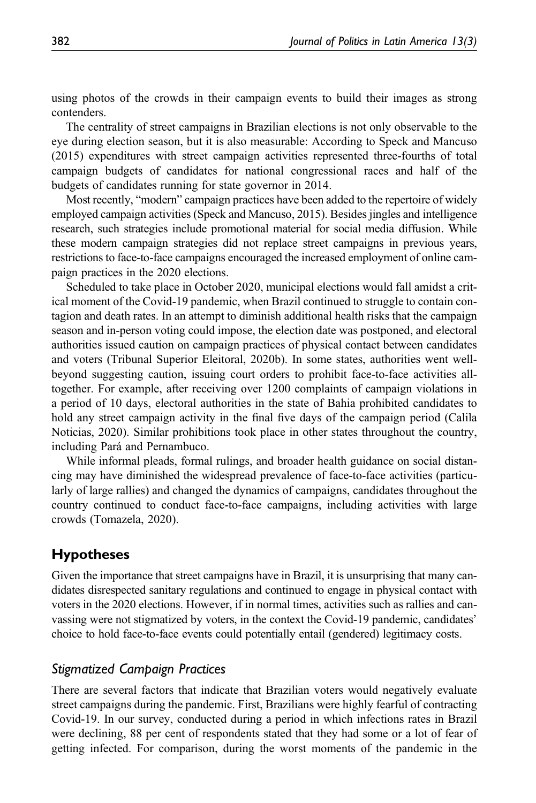using photos of the crowds in their campaign events to build their images as strong contenders.

The centrality of street campaigns in Brazilian elections is not only observable to the eye during election season, but it is also measurable: According to Speck and Mancuso (2015) expenditures with street campaign activities represented three-fourths of total campaign budgets of candidates for national congressional races and half of the budgets of candidates running for state governor in 2014.

Most recently, "modern" campaign practices have been added to the repertoire of widely employed campaign activities (Speck and Mancuso, 2015). Besides jingles and intelligence research, such strategies include promotional material for social media diffusion. While these modern campaign strategies did not replace street campaigns in previous years, restrictions to face-to-face campaigns encouraged the increased employment of online campaign practices in the 2020 elections.

Scheduled to take place in October 2020, municipal elections would fall amidst a critical moment of the Covid-19 pandemic, when Brazil continued to struggle to contain contagion and death rates. In an attempt to diminish additional health risks that the campaign season and in-person voting could impose, the election date was postponed, and electoral authorities issued caution on campaign practices of physical contact between candidates and voters (Tribunal Superior Eleitoral, 2020b). In some states, authorities went wellbeyond suggesting caution, issuing court orders to prohibit face-to-face activities alltogether. For example, after receiving over 1200 complaints of campaign violations in a period of 10 days, electoral authorities in the state of Bahia prohibited candidates to hold any street campaign activity in the final five days of the campaign period (Calila Noticias, 2020). Similar prohibitions took place in other states throughout the country, including Pará and Pernambuco.

While informal pleads, formal rulings, and broader health guidance on social distancing may have diminished the widespread prevalence of face-to-face activities (particularly of large rallies) and changed the dynamics of campaigns, candidates throughout the country continued to conduct face-to-face campaigns, including activities with large crowds (Tomazela, 2020).

# Hypotheses

Given the importance that street campaigns have in Brazil, it is unsurprising that many candidates disrespected sanitary regulations and continued to engage in physical contact with voters in the 2020 elections. However, if in normal times, activities such as rallies and canvassing were not stigmatized by voters, in the context the Covid-19 pandemic, candidates' choice to hold face-to-face events could potentially entail (gendered) legitimacy costs.

## Stigmatized Campaign Practices

There are several factors that indicate that Brazilian voters would negatively evaluate street campaigns during the pandemic. First, Brazilians were highly fearful of contracting Covid-19. In our survey, conducted during a period in which infections rates in Brazil were declining, 88 per cent of respondents stated that they had some or a lot of fear of getting infected. For comparison, during the worst moments of the pandemic in the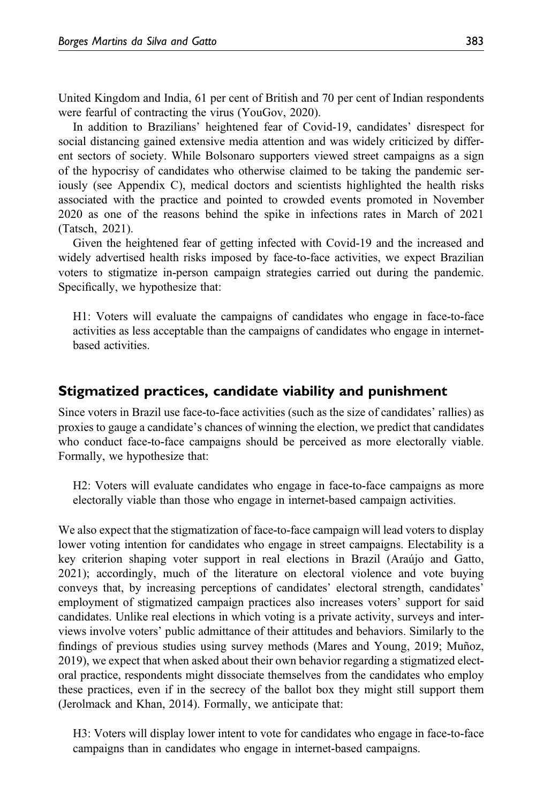United Kingdom and India, 61 per cent of British and 70 per cent of Indian respondents were fearful of contracting the virus (YouGov, 2020).

In addition to Brazilians' heightened fear of Covid-19, candidates' disrespect for social distancing gained extensive media attention and was widely criticized by different sectors of society. While Bolsonaro supporters viewed street campaigns as a sign of the hypocrisy of candidates who otherwise claimed to be taking the pandemic seriously (see [Appendix C\)](https://journals.sagepub.com/doi/suppl/10.1177/1866802X211058739), medical doctors and scientists highlighted the health risks associated with the practice and pointed to crowded events promoted in November 2020 as one of the reasons behind the spike in infections rates in March of 2021 (Tatsch, 2021).

Given the heightened fear of getting infected with Covid-19 and the increased and widely advertised health risks imposed by face-to-face activities, we expect Brazilian voters to stigmatize in-person campaign strategies carried out during the pandemic. Specifically, we hypothesize that:

H1: Voters will evaluate the campaigns of candidates who engage in face-to-face activities as less acceptable than the campaigns of candidates who engage in internetbased activities.

## Stigmatized practices, candidate viability and punishment

Since voters in Brazil use face-to-face activities (such as the size of candidates' rallies) as proxies to gauge a candidate's chances of winning the election, we predict that candidates who conduct face-to-face campaigns should be perceived as more electorally viable. Formally, we hypothesize that:

H2: Voters will evaluate candidates who engage in face-to-face campaigns as more electorally viable than those who engage in internet-based campaign activities.

We also expect that the stigmatization of face-to-face campaign will lead voters to display lower voting intention for candidates who engage in street campaigns. Electability is a key criterion shaping voter support in real elections in Brazil (Araújo and Gatto, 2021); accordingly, much of the literature on electoral violence and vote buying conveys that, by increasing perceptions of candidates' electoral strength, candidates' employment of stigmatized campaign practices also increases voters' support for said candidates. Unlike real elections in which voting is a private activity, surveys and interviews involve voters' public admittance of their attitudes and behaviors. Similarly to the findings of previous studies using survey methods (Mares and Young, 2019; Muñoz, 2019), we expect that when asked about their own behavior regarding a stigmatized electoral practice, respondents might dissociate themselves from the candidates who employ these practices, even if in the secrecy of the ballot box they might still support them (Jerolmack and Khan, 2014). Formally, we anticipate that:

H3: Voters will display lower intent to vote for candidates who engage in face-to-face campaigns than in candidates who engage in internet-based campaigns.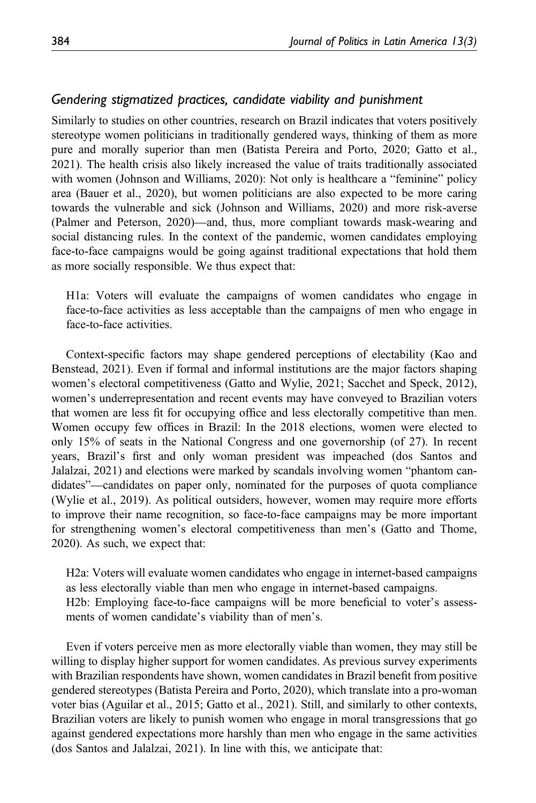## Gendering stigmatized practices, candidate viability and punishment

Similarly to studies on other countries, research on Brazil indicates that voters positively stereotype women politicians in traditionally gendered ways, thinking of them as more pure and morally superior than men (Batista Pereira and Porto, 2020; Gatto et al., 2021). The health crisis also likely increased the value of traits traditionally associated with women (Johnson and Williams, 2020): Not only is healthcare a "feminine" policy area (Bauer et al., 2020), but women politicians are also expected to be more caring towards the vulnerable and sick (Johnson and Williams, 2020) and more risk-averse (Palmer and Peterson, 2020)—and, thus, more compliant towards mask-wearing and social distancing rules. In the context of the pandemic, women candidates employing face-to-face campaigns would be going against traditional expectations that hold them as more socially responsible. We thus expect that:

H1a: Voters will evaluate the campaigns of women candidates who engage in face-to-face activities as less acceptable than the campaigns of men who engage in face-to-face activities.

Context-specific factors may shape gendered perceptions of electability (Kao and Benstead, 2021). Even if formal and informal institutions are the major factors shaping women's electoral competitiveness (Gatto and Wylie, 2021; Sacchet and Speck, 2012), women's underrepresentation and recent events may have conveyed to Brazilian voters that women are less fit for occupying office and less electorally competitive than men. Women occupy few offices in Brazil: In the 2018 elections, women were elected to only 15% of seats in the National Congress and one governorship (of 27). In recent years, Brazil's first and only woman president was impeached (dos Santos and Jalalzai, 2021) and elections were marked by scandals involving women "phantom candidates"—candidates on paper only, nominated for the purposes of quota compliance (Wylie et al., 2019). As political outsiders, however, women may require more efforts to improve their name recognition, so face-to-face campaigns may be more important for strengthening women's electoral competitiveness than men's (Gatto and Thome, 2020). As such, we expect that:

H2a: Voters will evaluate women candidates who engage in internet-based campaigns as less electorally viable than men who engage in internet-based campaigns. H2b: Employing face-to-face campaigns will be more beneficial to voter's assessments of women candidate's viability than of men's.

Even if voters perceive men as more electorally viable than women, they may still be willing to display higher support for women candidates. As previous survey experiments with Brazilian respondents have shown, women candidates in Brazil benefit from positive gendered stereotypes (Batista Pereira and Porto, 2020), which translate into a pro-woman voter bias (Aguilar et al., 2015; Gatto et al., 2021). Still, and similarly to other contexts, Brazilian voters are likely to punish women who engage in moral transgressions that go against gendered expectations more harshly than men who engage in the same activities (dos Santos and Jalalzai, 2021). In line with this, we anticipate that: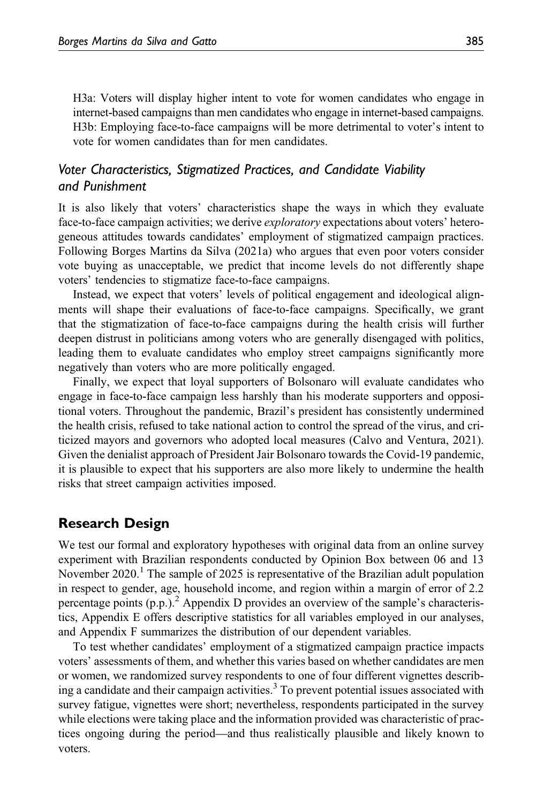H3a: Voters will display higher intent to vote for women candidates who engage in internet-based campaigns than men candidates who engage in internet-based campaigns. H3b: Employing face-to-face campaigns will be more detrimental to voter's intent to vote for women candidates than for men candidates.

# Voter Characteristics, Stigmatized Practices, and Candidate Viability and Punishment

It is also likely that voters' characteristics shape the ways in which they evaluate face-to-face campaign activities; we derive exploratory expectations about voters' heterogeneous attitudes towards candidates' employment of stigmatized campaign practices. Following Borges Martins da Silva (2021a) who argues that even poor voters consider vote buying as unacceptable, we predict that income levels do not differently shape voters' tendencies to stigmatize face-to-face campaigns.

Instead, we expect that voters' levels of political engagement and ideological alignments will shape their evaluations of face-to-face campaigns. Specifically, we grant that the stigmatization of face-to-face campaigns during the health crisis will further deepen distrust in politicians among voters who are generally disengaged with politics, leading them to evaluate candidates who employ street campaigns significantly more negatively than voters who are more politically engaged.

Finally, we expect that loyal supporters of Bolsonaro will evaluate candidates who engage in face-to-face campaign less harshly than his moderate supporters and oppositional voters. Throughout the pandemic, Brazil's president has consistently undermined the health crisis, refused to take national action to control the spread of the virus, and criticized mayors and governors who adopted local measures (Calvo and Ventura, 2021). Given the denialist approach of President Jair Bolsonaro towards the Covid-19 pandemic, it is plausible to expect that his supporters are also more likely to undermine the health risks that street campaign activities imposed.

# Research Design

We test our formal and exploratory hypotheses with original data from an online survey experiment with Brazilian respondents conducted by Opinion Box between 06 and 13 November  $2020$ .<sup>1</sup> The sample of  $2025$  is representative of the Brazilian adult population in respect to gender, age, household income, and region within a margin of error of 2.2 percentage points  $(p.p.)^2$  [Appendix D](https://journals.sagepub.com/doi/suppl/10.1177/1866802X211058739) provides an overview of the sample's characteristics, [Appendix E](https://journals.sagepub.com/doi/suppl/10.1177/1866802X211058739) offers descriptive statistics for all variables employed in our analyses, and [Appendix F](https://journals.sagepub.com/doi/suppl/10.1177/1866802X211058739) summarizes the distribution of our dependent variables.

To test whether candidates' employment of a stigmatized campaign practice impacts voters' assessments of them, and whether this varies based on whether candidates are men or women, we randomized survey respondents to one of four different vignettes describing a candidate and their campaign activities.<sup>3</sup> To prevent potential issues associated with survey fatigue, vignettes were short; nevertheless, respondents participated in the survey while elections were taking place and the information provided was characteristic of practices ongoing during the period—and thus realistically plausible and likely known to voters.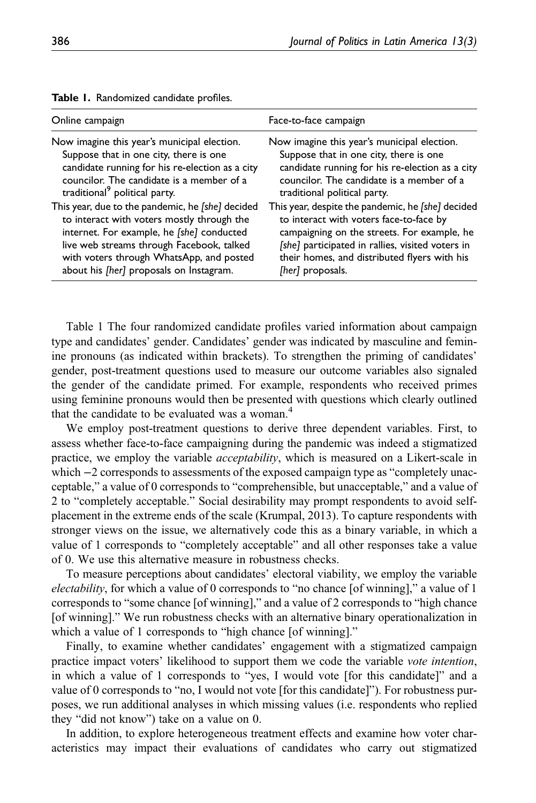| Online campaign                                  | Face-to-face campaign                             |
|--------------------------------------------------|---------------------------------------------------|
| Now imagine this year's municipal election.      | Now imagine this year's municipal election.       |
| Suppose that in one city, there is one           | Suppose that in one city, there is one            |
| candidate running for his re-election as a city  | candidate running for his re-election as a city   |
| councilor. The candidate is a member of a        | councilor. The candidate is a member of a         |
| traditional <sup>9</sup> political party.        | traditional political party.                      |
| This year, due to the pandemic, he [she] decided | This year, despite the pandemic, he [she] decided |
| to interact with voters mostly through the       | to interact with voters face-to-face by           |
| internet. For example, he [she] conducted        | campaigning on the streets. For example, he       |
| live web streams through Facebook, talked        | [she] participated in rallies, visited voters in  |
| with voters through WhatsApp, and posted         | their homes, and distributed flyers with his      |
| about his [her] proposals on Instagram.          | [her] proposals.                                  |

Table 1. Randomized candidate profiles.

Table 1 The four randomized candidate profiles varied information about campaign type and candidates' gender. Candidates' gender was indicated by masculine and feminine pronouns (as indicated within brackets). To strengthen the priming of candidates' gender, post-treatment questions used to measure our outcome variables also signaled the gender of the candidate primed. For example, respondents who received primes using feminine pronouns would then be presented with questions which clearly outlined that the candidate to be evaluated was a woman.<sup>4</sup>

We employ post-treatment questions to derive three dependent variables. First, to assess whether face-to-face campaigning during the pandemic was indeed a stigmatized practice, we employ the variable *acceptability*, which is measured on a Likert-scale in which −2 corresponds to assessments of the exposed campaign type as "completely unacceptable," a value of 0 corresponds to "comprehensible, but unacceptable," and a value of 2 to "completely acceptable." Social desirability may prompt respondents to avoid selfplacement in the extreme ends of the scale (Krumpal, 2013). To capture respondents with stronger views on the issue, we alternatively code this as a binary variable, in which a value of 1 corresponds to "completely acceptable" and all other responses take a value of 0. We use this alternative measure in robustness checks.

To measure perceptions about candidates' electoral viability, we employ the variable electability, for which a value of 0 corresponds to "no chance [of winning]," a value of 1 corresponds to "some chance [of winning]," and a value of 2 corresponds to "high chance [of winning]." We run robustness checks with an alternative binary operationalization in which a value of 1 corresponds to "high chance [of winning]."

Finally, to examine whether candidates' engagement with a stigmatized campaign practice impact voters' likelihood to support them we code the variable vote intention, in which a value of 1 corresponds to "yes, I would vote [for this candidate]" and a value of 0 corresponds to "no, I would not vote [for this candidate]"). For robustness purposes, we run additional analyses in which missing values (i.e. respondents who replied they "did not know") take on a value on 0.

In addition, to explore heterogeneous treatment effects and examine how voter characteristics may impact their evaluations of candidates who carry out stigmatized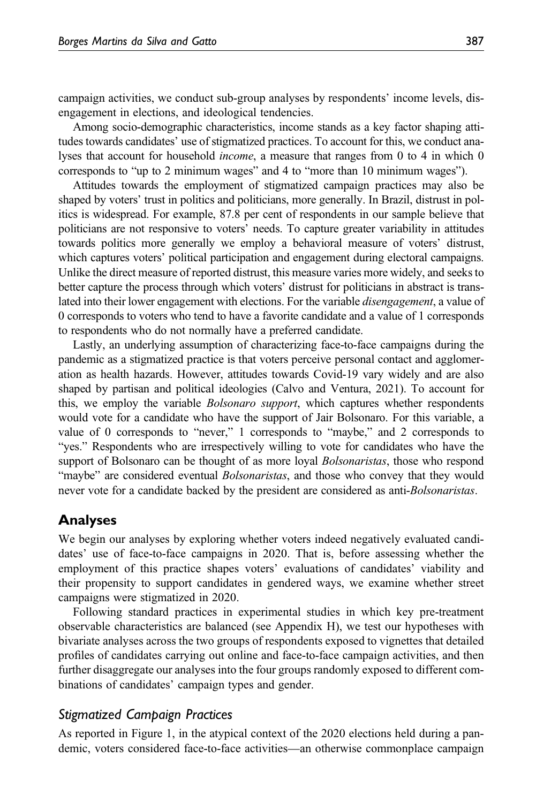campaign activities, we conduct sub-group analyses by respondents' income levels, disengagement in elections, and ideological tendencies.

Among socio-demographic characteristics, income stands as a key factor shaping attitudes towards candidates' use of stigmatized practices. To account for this, we conduct analyses that account for household income, a measure that ranges from 0 to 4 in which 0 corresponds to "up to 2 minimum wages" and 4 to "more than 10 minimum wages").

Attitudes towards the employment of stigmatized campaign practices may also be shaped by voters' trust in politics and politicians, more generally. In Brazil, distrust in politics is widespread. For example, 87.8 per cent of respondents in our sample believe that politicians are not responsive to voters' needs. To capture greater variability in attitudes towards politics more generally we employ a behavioral measure of voters' distrust, which captures voters' political participation and engagement during electoral campaigns. Unlike the direct measure of reported distrust, this measure varies more widely, and seeks to better capture the process through which voters' distrust for politicians in abstract is translated into their lower engagement with elections. For the variable disengagement, a value of 0 corresponds to voters who tend to have a favorite candidate and a value of 1 corresponds to respondents who do not normally have a preferred candidate.

Lastly, an underlying assumption of characterizing face-to-face campaigns during the pandemic as a stigmatized practice is that voters perceive personal contact and agglomeration as health hazards. However, attitudes towards Covid-19 vary widely and are also shaped by partisan and political ideologies (Calvo and Ventura, 2021). To account for this, we employ the variable *Bolsonaro support*, which captures whether respondents would vote for a candidate who have the support of Jair Bolsonaro. For this variable, a value of 0 corresponds to "never," 1 corresponds to "maybe," and 2 corresponds to "yes." Respondents who are irrespectively willing to vote for candidates who have the support of Bolsonaro can be thought of as more loyal *Bolsonaristas*, those who respond "maybe" are considered eventual *Bolsonaristas*, and those who convey that they would never vote for a candidate backed by the president are considered as anti-*Bolsonaristas*.

## Analyses

We begin our analyses by exploring whether voters indeed negatively evaluated candidates' use of face-to-face campaigns in 2020. That is, before assessing whether the employment of this practice shapes voters' evaluations of candidates' viability and their propensity to support candidates in gendered ways, we examine whether street campaigns were stigmatized in 2020.

Following standard practices in experimental studies in which key pre-treatment observable characteristics are balanced (see [Appendix H\)](https://journals.sagepub.com/doi/suppl/10.1177/1866802X211058739), we test our hypotheses with bivariate analyses across the two groups of respondents exposed to vignettes that detailed profiles of candidates carrying out online and face-to-face campaign activities, and then further disaggregate our analyses into the four groups randomly exposed to different combinations of candidates' campaign types and gender.

## Stigmatized Campaign Practices

As reported in Figure 1, in the atypical context of the 2020 elections held during a pandemic, voters considered face-to-face activities—an otherwise commonplace campaign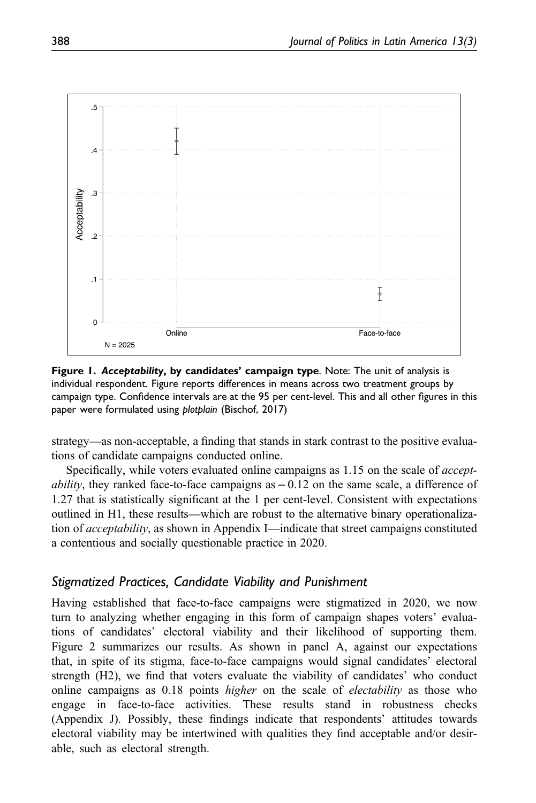

Figure 1. Acceptability, by candidates' campaign type. Note: The unit of analysis is individual respondent. Figure reports differences in means across two treatment groups by campaign type. Confidence intervals are at the 95 per cent-level. This and all other figures in this paper were formulated using plotplain (Bischof, 2017)

strategy—as non-acceptable, a finding that stands in stark contrast to the positive evaluations of candidate campaigns conducted online.

Specifically, while voters evaluated online campaigns as 1.15 on the scale of accept*ability*, they ranked face-to-face campaigns as  $-0.12$  on the same scale, a difference of 1.27 that is statistically significant at the 1 per cent-level. Consistent with expectations outlined in H1, these results—which are robust to the alternative binary operationalization of acceptability, as shown in Appendix I—indicate that street campaigns constituted a contentious and socially questionable practice in 2020.

# Stigmatized Practices, Candidate Viability and Punishment

Having established that face-to-face campaigns were stigmatized in 2020, we now turn to analyzing whether engaging in this form of campaign shapes voters' evaluations of candidates' electoral viability and their likelihood of supporting them. Figure 2 summarizes our results. As shown in panel A, against our expectations that, in spite of its stigma, face-to-face campaigns would signal candidates' electoral strength (H2), we find that voters evaluate the viability of candidates' who conduct online campaigns as 0.18 points *higher* on the scale of *electability* as those who engage in face-to-face activities. These results stand in robustness checks ([Appendix J](https://journals.sagepub.com/doi/suppl/10.1177/1866802X211058739)). Possibly, these findings indicate that respondents' attitudes towards electoral viability may be intertwined with qualities they find acceptable and/or desirable, such as electoral strength.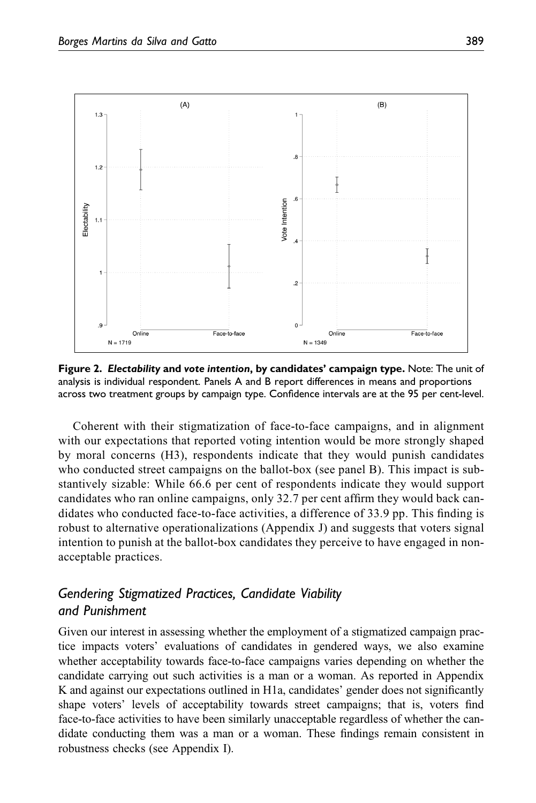

Figure 2. Electability and vote intention, by candidates' campaign type. Note: The unit of analysis is individual respondent. Panels A and B report differences in means and proportions across two treatment groups by campaign type. Confidence intervals are at the 95 per cent-level.

Coherent with their stigmatization of face-to-face campaigns, and in alignment with our expectations that reported voting intention would be more strongly shaped by moral concerns (H3), respondents indicate that they would punish candidates who conducted street campaigns on the ballot-box (see panel B). This impact is substantively sizable: While 66.6 per cent of respondents indicate they would support candidates who ran online campaigns, only 32.7 per cent affirm they would back candidates who conducted face-to-face activities, a difference of 33.9 pp. This finding is robust to alternative operationalizations [\(Appendix J\)](https://journals.sagepub.com/doi/suppl/10.1177/1866802X211058739) and suggests that voters signal intention to punish at the ballot-box candidates they perceive to have engaged in nonacceptable practices.

# Gendering Stigmatized Practices, Candidate Viability and Punishment

Given our interest in assessing whether the employment of a stigmatized campaign practice impacts voters' evaluations of candidates in gendered ways, we also examine whether acceptability towards face-to-face campaigns varies depending on whether the candidate carrying out such activities is a man or a woman. As reported in [Appendix](https://journals.sagepub.com/doi/suppl/10.1177/1866802X211058739) [K](https://journals.sagepub.com/doi/suppl/10.1177/1866802X211058739) and against our expectations outlined in H1a, candidates' gender does not significantly shape voters' levels of acceptability towards street campaigns; that is, voters find face-to-face activities to have been similarly unacceptable regardless of whether the candidate conducting them was a man or a woman. These findings remain consistent in robustness checks (see Appendix I).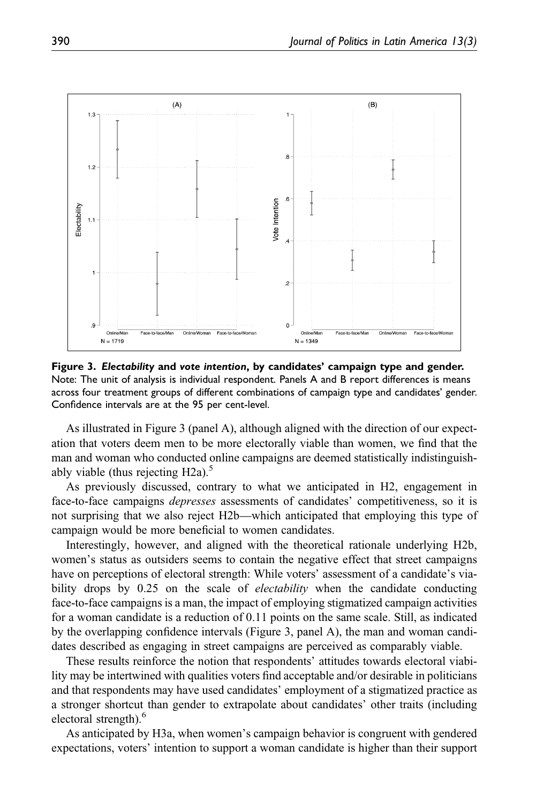

Figure 3. Electability and vote intention, by candidates' campaign type and gender. Note: The unit of analysis is individual respondent. Panels A and B report differences is means across four treatment groups of different combinations of campaign type and candidates' gender. Confidence intervals are at the 95 per cent-level.

As illustrated in Figure 3 (panel A), although aligned with the direction of our expectation that voters deem men to be more electorally viable than women, we find that the man and woman who conducted online campaigns are deemed statistically indistinguishably viable (thus rejecting  $H2a$ ).<sup>5</sup>

As previously discussed, contrary to what we anticipated in H2, engagement in face-to-face campaigns *depresses* assessments of candidates' competitiveness, so it is not surprising that we also reject H2b—which anticipated that employing this type of campaign would be more beneficial to women candidates.

Interestingly, however, and aligned with the theoretical rationale underlying H2b, women's status as outsiders seems to contain the negative effect that street campaigns have on perceptions of electoral strength: While voters' assessment of a candidate's viability drops by 0.25 on the scale of *electability* when the candidate conducting face-to-face campaigns is a man, the impact of employing stigmatized campaign activities for a woman candidate is a reduction of 0.11 points on the same scale. Still, as indicated by the overlapping confidence intervals (Figure 3, panel A), the man and woman candidates described as engaging in street campaigns are perceived as comparably viable.

These results reinforce the notion that respondents' attitudes towards electoral viability may be intertwined with qualities voters find acceptable and/or desirable in politicians and that respondents may have used candidates' employment of a stigmatized practice as a stronger shortcut than gender to extrapolate about candidates' other traits (including electoral strength).<sup>6</sup>

As anticipated by H3a, when women's campaign behavior is congruent with gendered expectations, voters' intention to support a woman candidate is higher than their support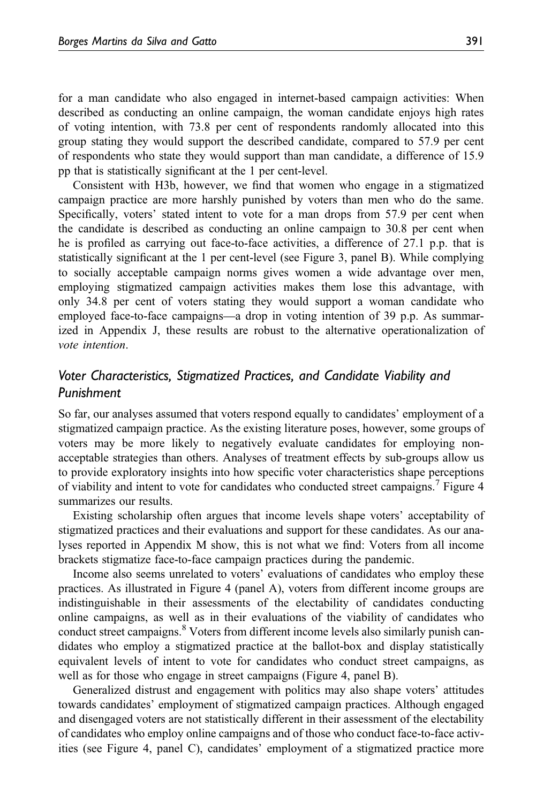for a man candidate who also engaged in internet-based campaign activities: When described as conducting an online campaign, the woman candidate enjoys high rates of voting intention, with 73.8 per cent of respondents randomly allocated into this group stating they would support the described candidate, compared to 57.9 per cent of respondents who state they would support than man candidate, a difference of 15.9 pp that is statistically significant at the 1 per cent-level.

Consistent with H3b, however, we find that women who engage in a stigmatized campaign practice are more harshly punished by voters than men who do the same. Specifically, voters' stated intent to vote for a man drops from 57.9 per cent when the candidate is described as conducting an online campaign to 30.8 per cent when he is profiled as carrying out face-to-face activities, a difference of 27.1 p.p. that is statistically significant at the 1 per cent-level (see Figure 3, panel B). While complying to socially acceptable campaign norms gives women a wide advantage over men, employing stigmatized campaign activities makes them lose this advantage, with only 34.8 per cent of voters stating they would support a woman candidate who employed face-to-face campaigns—a drop in voting intention of 39 p.p. As summarized in [Appendix J,](https://journals.sagepub.com/doi/suppl/10.1177/1866802X211058739) these results are robust to the alternative operationalization of vote intention.

## Voter Characteristics, Stigmatized Practices, and Candidate Viability and Punishment

So far, our analyses assumed that voters respond equally to candidates' employment of a stigmatized campaign practice. As the existing literature poses, however, some groups of voters may be more likely to negatively evaluate candidates for employing nonacceptable strategies than others. Analyses of treatment effects by sub-groups allow us to provide exploratory insights into how specific voter characteristics shape perceptions of viability and intent to vote for candidates who conducted street campaigns.<sup>7</sup> Figure 4 summarizes our results.

Existing scholarship often argues that income levels shape voters' acceptability of stigmatized practices and their evaluations and support for these candidates. As our analyses reported in [Appendix M](https://journals.sagepub.com/doi/suppl/10.1177/1866802X211058739) show, this is not what we find: Voters from all income brackets stigmatize face-to-face campaign practices during the pandemic.

Income also seems unrelated to voters' evaluations of candidates who employ these practices. As illustrated in Figure 4 (panel A), voters from different income groups are indistinguishable in their assessments of the electability of candidates conducting online campaigns, as well as in their evaluations of the viability of candidates who conduct street campaigns.<sup>8</sup> Voters from different income levels also similarly punish candidates who employ a stigmatized practice at the ballot-box and display statistically equivalent levels of intent to vote for candidates who conduct street campaigns, as well as for those who engage in street campaigns (Figure 4, panel B).

Generalized distrust and engagement with politics may also shape voters' attitudes towards candidates' employment of stigmatized campaign practices. Although engaged and disengaged voters are not statistically different in their assessment of the electability of candidates who employ online campaigns and of those who conduct face-to-face activities (see Figure 4, panel C), candidates' employment of a stigmatized practice more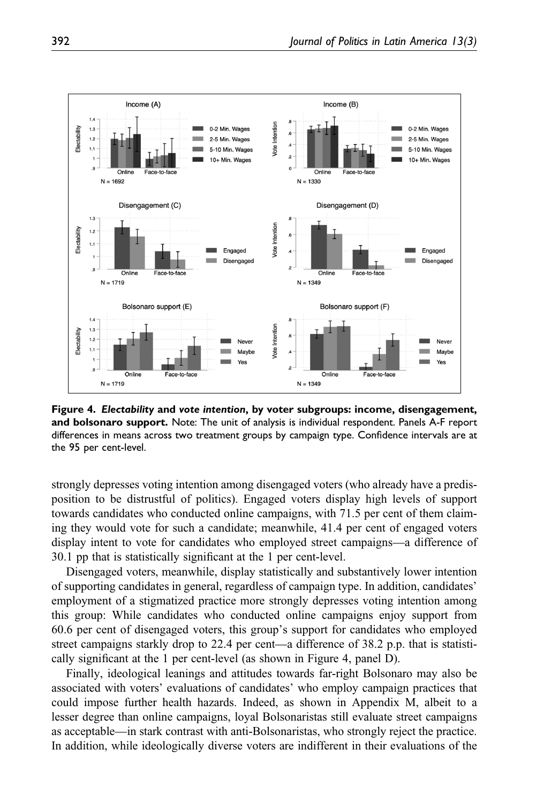

Figure 4. Electability and vote intention, by voter subgroups: income, disengagement, and bolsonaro support. Note: The unit of analysis is individual respondent. Panels A-F report differences in means across two treatment groups by campaign type. Confidence intervals are at the 95 per cent-level.

strongly depresses voting intention among disengaged voters (who already have a predisposition to be distrustful of politics). Engaged voters display high levels of support towards candidates who conducted online campaigns, with 71.5 per cent of them claiming they would vote for such a candidate; meanwhile, 41.4 per cent of engaged voters display intent to vote for candidates who employed street campaigns—a difference of 30.1 pp that is statistically significant at the 1 per cent-level.

Disengaged voters, meanwhile, display statistically and substantively lower intention of supporting candidates in general, regardless of campaign type. In addition, candidates' employment of a stigmatized practice more strongly depresses voting intention among this group: While candidates who conducted online campaigns enjoy support from 60.6 per cent of disengaged voters, this group's support for candidates who employed street campaigns starkly drop to 22.4 per cent—a difference of 38.2 p.p. that is statistically significant at the 1 per cent-level (as shown in Figure 4, panel D).

Finally, ideological leanings and attitudes towards far-right Bolsonaro may also be associated with voters' evaluations of candidates' who employ campaign practices that could impose further health hazards. Indeed, as shown in [Appendix M,](https://journals.sagepub.com/doi/suppl/10.1177/1866802X211058739) albeit to a lesser degree than online campaigns, loyal Bolsonaristas still evaluate street campaigns as acceptable—in stark contrast with anti-Bolsonaristas, who strongly reject the practice. In addition, while ideologically diverse voters are indifferent in their evaluations of the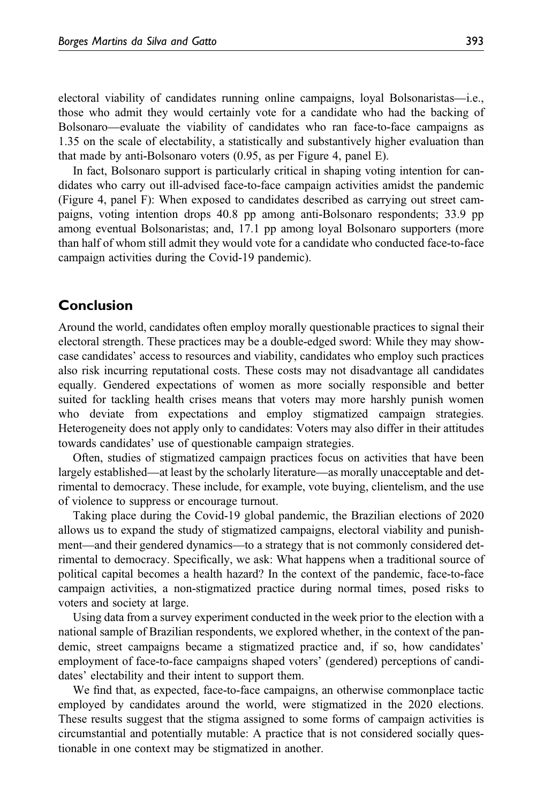electoral viability of candidates running online campaigns, loyal Bolsonaristas—i.e., those who admit they would certainly vote for a candidate who had the backing of Bolsonaro—evaluate the viability of candidates who ran face-to-face campaigns as 1.35 on the scale of electability, a statistically and substantively higher evaluation than that made by anti-Bolsonaro voters (0.95, as per Figure 4, panel E).

In fact, Bolsonaro support is particularly critical in shaping voting intention for candidates who carry out ill-advised face-to-face campaign activities amidst the pandemic (Figure 4, panel F): When exposed to candidates described as carrying out street campaigns, voting intention drops 40.8 pp among anti-Bolsonaro respondents; 33.9 pp among eventual Bolsonaristas; and, 17.1 pp among loyal Bolsonaro supporters (more than half of whom still admit they would vote for a candidate who conducted face-to-face campaign activities during the Covid-19 pandemic).

# Conclusion

Around the world, candidates often employ morally questionable practices to signal their electoral strength. These practices may be a double-edged sword: While they may showcase candidates' access to resources and viability, candidates who employ such practices also risk incurring reputational costs. These costs may not disadvantage all candidates equally. Gendered expectations of women as more socially responsible and better suited for tackling health crises means that voters may more harshly punish women who deviate from expectations and employ stigmatized campaign strategies. Heterogeneity does not apply only to candidates: Voters may also differ in their attitudes towards candidates' use of questionable campaign strategies.

Often, studies of stigmatized campaign practices focus on activities that have been largely established—at least by the scholarly literature—as morally unacceptable and detrimental to democracy. These include, for example, vote buying, clientelism, and the use of violence to suppress or encourage turnout.

Taking place during the Covid-19 global pandemic, the Brazilian elections of 2020 allows us to expand the study of stigmatized campaigns, electoral viability and punishment—and their gendered dynamics—to a strategy that is not commonly considered detrimental to democracy. Specifically, we ask: What happens when a traditional source of political capital becomes a health hazard? In the context of the pandemic, face-to-face campaign activities, a non-stigmatized practice during normal times, posed risks to voters and society at large.

Using data from a survey experiment conducted in the week prior to the election with a national sample of Brazilian respondents, we explored whether, in the context of the pandemic, street campaigns became a stigmatized practice and, if so, how candidates' employment of face-to-face campaigns shaped voters' (gendered) perceptions of candidates' electability and their intent to support them.

We find that, as expected, face-to-face campaigns, an otherwise commonplace tactic employed by candidates around the world, were stigmatized in the 2020 elections. These results suggest that the stigma assigned to some forms of campaign activities is circumstantial and potentially mutable: A practice that is not considered socially questionable in one context may be stigmatized in another.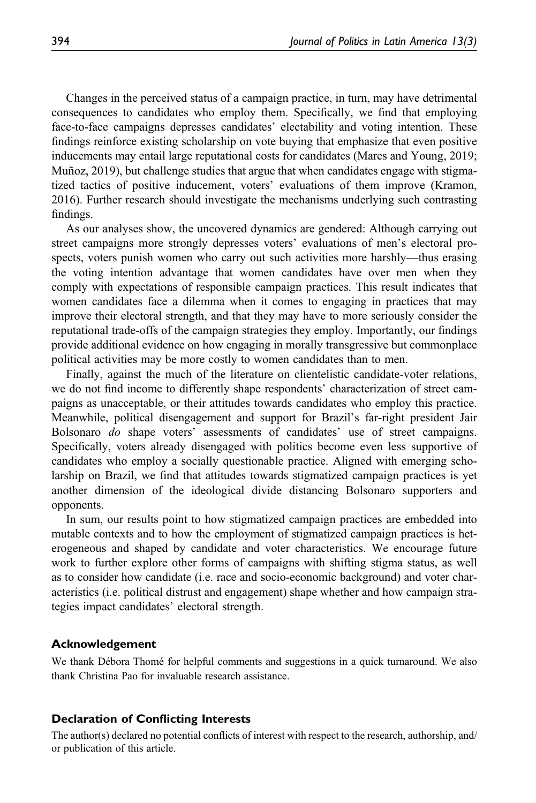Changes in the perceived status of a campaign practice, in turn, may have detrimental consequences to candidates who employ them. Specifically, we find that employing face-to-face campaigns depresses candidates' electability and voting intention. These findings reinforce existing scholarship on vote buying that emphasize that even positive inducements may entail large reputational costs for candidates (Mares and Young, 2019; Muñoz, 2019), but challenge studies that argue that when candidates engage with stigmatized tactics of positive inducement, voters' evaluations of them improve (Kramon, 2016). Further research should investigate the mechanisms underlying such contrasting findings.

As our analyses show, the uncovered dynamics are gendered: Although carrying out street campaigns more strongly depresses voters' evaluations of men's electoral prospects, voters punish women who carry out such activities more harshly—thus erasing the voting intention advantage that women candidates have over men when they comply with expectations of responsible campaign practices. This result indicates that women candidates face a dilemma when it comes to engaging in practices that may improve their electoral strength, and that they may have to more seriously consider the reputational trade-offs of the campaign strategies they employ. Importantly, our findings provide additional evidence on how engaging in morally transgressive but commonplace political activities may be more costly to women candidates than to men.

Finally, against the much of the literature on clientelistic candidate-voter relations, we do not find income to differently shape respondents' characterization of street campaigns as unacceptable, or their attitudes towards candidates who employ this practice. Meanwhile, political disengagement and support for Brazil's far-right president Jair Bolsonaro do shape voters' assessments of candidates' use of street campaigns. Specifically, voters already disengaged with politics become even less supportive of candidates who employ a socially questionable practice. Aligned with emerging scholarship on Brazil, we find that attitudes towards stigmatized campaign practices is yet another dimension of the ideological divide distancing Bolsonaro supporters and opponents.

In sum, our results point to how stigmatized campaign practices are embedded into mutable contexts and to how the employment of stigmatized campaign practices is heterogeneous and shaped by candidate and voter characteristics. We encourage future work to further explore other forms of campaigns with shifting stigma status, as well as to consider how candidate (i.e. race and socio-economic background) and voter characteristics (i.e. political distrust and engagement) shape whether and how campaign strategies impact candidates' electoral strength.

#### Acknowledgement

We thank Débora Thomé for helpful comments and suggestions in a quick turnaround. We also thank Christina Pao for invaluable research assistance.

#### Declaration of Conflicting Interests

The author(s) declared no potential conflicts of interest with respect to the research, authorship, and/ or publication of this article.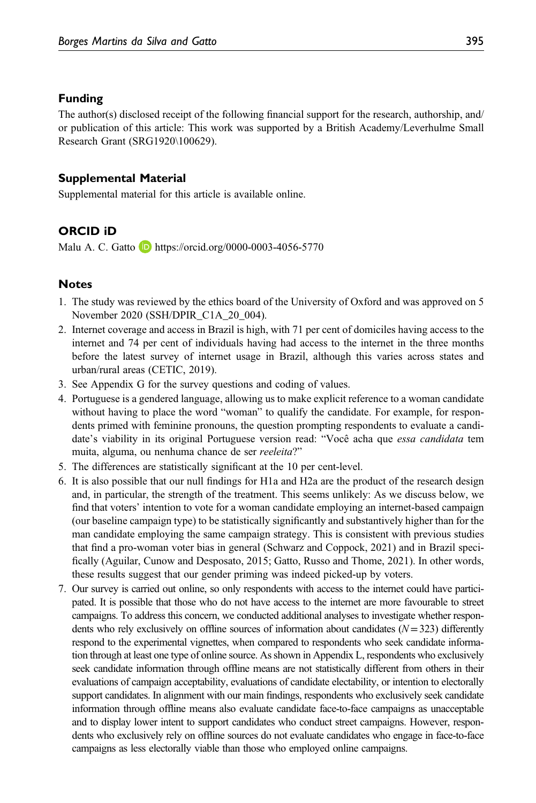#### Funding

The author(s) disclosed receipt of the following financial support for the research, authorship, and/ or publication of this article: This work was supported by a British Academy/Leverhulme Small Research Grant (SRG1920\100629).

#### Supplemental Material

Supplemental material for this article is available online.

## ORCID iD

Malu A. C. Gatto **b** <https://orcid.org/0000-0003-4056-5770>

#### **Notes**

- 1. The study was reviewed by the ethics board of the University of Oxford and was approved on 5 November 2020 (SSH/DPIR\_C1A\_20\_004).
- 2. Internet coverage and access in Brazil is high, with 71 per cent of domiciles having access to the internet and 74 per cent of individuals having had access to the internet in the three months before the latest survey of internet usage in Brazil, although this varies across states and urban/rural areas (CETIC, 2019).
- 3. See Appendix G for the survey questions and coding of values.
- 4. Portuguese is a gendered language, allowing us to make explicit reference to a woman candidate without having to place the word "woman" to qualify the candidate. For example, for respondents primed with feminine pronouns, the question prompting respondents to evaluate a candidate's viability in its original Portuguese version read: "Você acha que *essa candidata* tem muita, alguma, ou nenhuma chance de ser reeleita?"
- 5. The differences are statistically significant at the 10 per cent-level.
- 6. It is also possible that our null findings for H1a and H2a are the product of the research design and, in particular, the strength of the treatment. This seems unlikely: As we discuss below, we find that voters' intention to vote for a woman candidate employing an internet-based campaign (our baseline campaign type) to be statistically significantly and substantively higher than for the man candidate employing the same campaign strategy. This is consistent with previous studies that find a pro-woman voter bias in general (Schwarz and Coppock, 2021) and in Brazil specifically (Aguilar, Cunow and Desposato, 2015; Gatto, Russo and Thome, 2021). In other words, these results suggest that our gender priming was indeed picked-up by voters.
- 7. Our survey is carried out online, so only respondents with access to the internet could have participated. It is possible that those who do not have access to the internet are more favourable to street campaigns. To address this concern, we conducted additional analyses to investigate whether respondents who rely exclusively on offline sources of information about candidates  $(N=323)$  differently respond to the experimental vignettes, when compared to respondents who seek candidate information through at least one type of online source. As shown in Appendix L, respondents who exclusively seek candidate information through offline means are not statistically different from others in their evaluations of campaign acceptability, evaluations of candidate electability, or intention to electorally support candidates. In alignment with our main findings, respondents who exclusively seek candidate information through offline means also evaluate candidate face-to-face campaigns as unacceptable and to display lower intent to support candidates who conduct street campaigns. However, respondents who exclusively rely on offline sources do not evaluate candidates who engage in face-to-face campaigns as less electorally viable than those who employed online campaigns.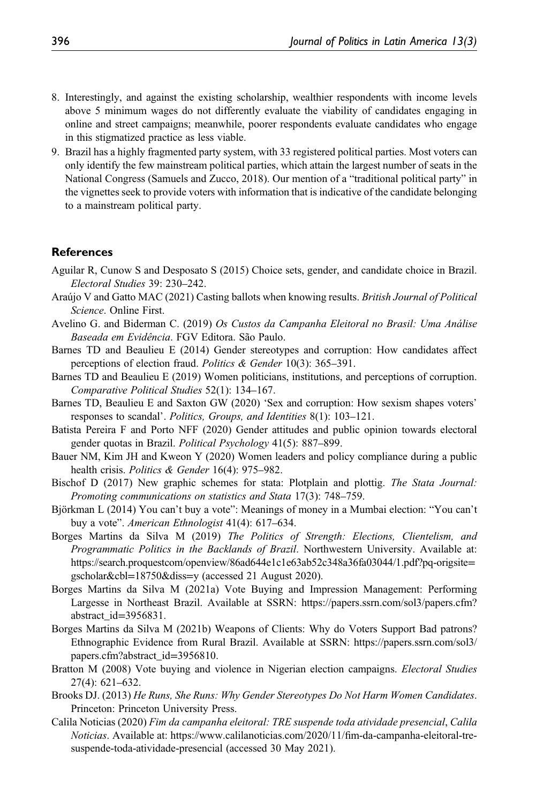- 8. Interestingly, and against the existing scholarship, wealthier respondents with income levels above 5 minimum wages do not differently evaluate the viability of candidates engaging in online and street campaigns; meanwhile, poorer respondents evaluate candidates who engage in this stigmatized practice as less viable.
- 9. Brazil has a highly fragmented party system, with 33 registered political parties. Most voters can only identify the few mainstream political parties, which attain the largest number of seats in the National Congress (Samuels and Zucco, 2018). Our mention of a "traditional political party" in the vignettes seek to provide voters with information that is indicative of the candidate belonging to a mainstream political party.

## **References**

- Aguilar R, Cunow S and Desposato S (2015) Choice sets, gender, and candidate choice in Brazil. Electoral Studies 39: 230–242.
- Araújo V and Gatto MAC (2021) Casting ballots when knowing results. British Journal of Political Science. Online First.
- Avelino G. and Biderman C. (2019) Os Custos da Campanha Eleitoral no Brasil: Uma Análise Baseada em Evidência. FGV Editora. São Paulo.
- Barnes TD and Beaulieu E (2014) Gender stereotypes and corruption: How candidates affect perceptions of election fraud. Politics & Gender 10(3): 365–391.
- Barnes TD and Beaulieu E (2019) Women politicians, institutions, and perceptions of corruption. Comparative Political Studies 52(1): 134–167.
- Barnes TD, Beaulieu E and Saxton GW (2020) 'Sex and corruption: How sexism shapes voters' responses to scandal'. Politics, Groups, and Identities 8(1): 103–121.
- Batista Pereira F and Porto NFF (2020) Gender attitudes and public opinion towards electoral gender quotas in Brazil. Political Psychology 41(5): 887-899.
- Bauer NM, Kim JH and Kweon Y (2020) Women leaders and policy compliance during a public health crisis. *Politics & Gender* 16(4): 975–982.
- Bischof D (2017) New graphic schemes for stata: Plotplain and plottig. The Stata Journal: Promoting communications on statistics and Stata 17(3): 748–759.
- Björkman L (2014) You can't buy a vote": Meanings of money in a Mumbai election: "You can't buy a vote". American Ethnologist 41(4): 617–634.
- Borges Martins da Silva M (2019) The Politics of Strength: Elections, Clientelism, and Programmatic Politics in the Backlands of Brazil. Northwestern University. Available at: [https://search.proquestcom/openview/86ad644e1c1e63ab52c348a36fa03044/1.pdf?pq-origsite](https://search.proquestcom/openview/86ad644e1c1e63ab52c348a36fa03044/1.pdf?pq-origsite=gscholar%26cbl=18750%26diss=y)= [gscholar&cbl](https://search.proquestcom/openview/86ad644e1c1e63ab52c348a36fa03044/1.pdf?pq-origsite=gscholar%26cbl=18750%26diss=y)=18750&diss=y (accessed 21 August 2020).
- Borges Martins da Silva M (2021a) Vote Buying and Impression Management: Performing Largesse in Northeast Brazil. Available at SSRN: https://papers.ssrn.com/sol3/papers.cfm? abstract\_id=3956831.
- Borges Martins da Silva M (2021b) Weapons of Clients: Why do Voters Support Bad patrons? Ethnographic Evidence from Rural Brazil. Available at SSRN: https://papers.ssrn.com/sol3/ papers.cfm?abstract\_id=3956810.
- Bratton M (2008) Vote buying and violence in Nigerian election campaigns. *Electoral Studies* 27(4): 621–632.
- Brooks DJ. (2013) He Runs, She Runs: Why Gender Stereotypes Do Not Harm Women Candidates. Princeton: Princeton University Press.
- Calila Noticias (2020) Fim da campanha eleitoral: TRE suspende toda atividade presencial, Calila Noticias. Available at: [https://www.calilanoticias.com/2020/11/](https://www.calilanoticias.com/2020/11/fim-da-campanha-eleitoral-tre-suspende-toda-atividade-presencial)fim-da-campanha-eleitoral-tre[suspende-toda-atividade-presencial](https://www.calilanoticias.com/2020/11/fim-da-campanha-eleitoral-tre-suspende-toda-atividade-presencial) (accessed 30 May 2021).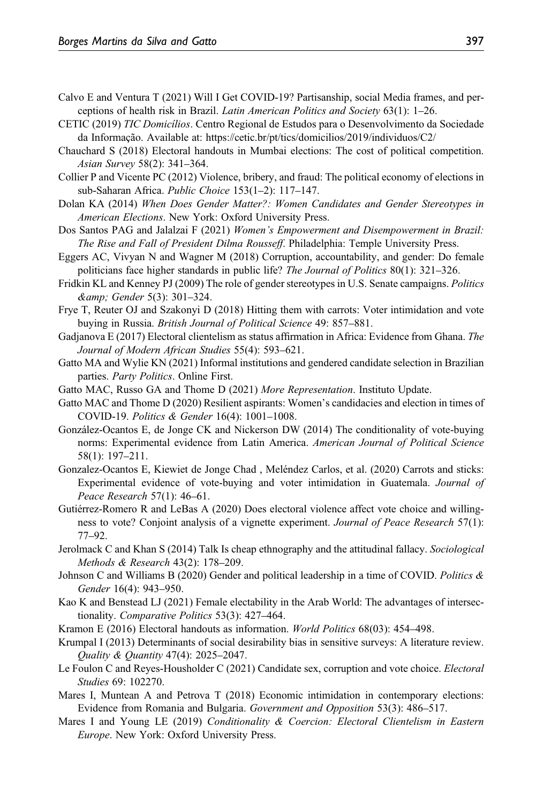- Calvo E and Ventura T (2021) Will I Get COVID-19? Partisanship, social Media frames, and perceptions of health risk in Brazil. Latin American Politics and Society 63(1): 1–26.
- CETIC (2019) TIC Domicílios. Centro Regional de Estudos para o Desenvolvimento da Sociedade da Informação. Available at:<https://cetic.br/pt/tics/domicilios/2019/individuos/C2/>
- Chauchard S (2018) Electoral handouts in Mumbai elections: The cost of political competition. Asian Survey 58(2): 341–364.
- Collier P and Vicente PC (2012) Violence, bribery, and fraud: The political economy of elections in sub-Saharan Africa. Public Choice 153(1–2): 117–147.
- Dolan KA (2014) When Does Gender Matter?: Women Candidates and Gender Stereotypes in American Elections. New York: Oxford University Press.
- Dos Santos PAG and Jalalzai F (2021) Women's Empowerment and Disempowerment in Brazil: The Rise and Fall of President Dilma Rousseff. Philadelphia: Temple University Press.
- Eggers AC, Vivyan N and Wagner M (2018) Corruption, accountability, and gender: Do female politicians face higher standards in public life? The Journal of Politics 80(1): 321–326.
- Fridkin KL and Kenney PJ (2009) The role of gender stereotypes in U.S. Senate campaigns. Politics & Gender 5(3): 301–324.
- Frye T, Reuter OJ and Szakonyi D (2018) Hitting them with carrots: Voter intimidation and vote buying in Russia. British Journal of Political Science 49: 857–881.
- Gadjanova E (2017) Electoral clientelism as status affirmation in Africa: Evidence from Ghana. The Journal of Modern African Studies 55(4): 593–621.
- Gatto MA and Wylie KN (2021) Informal institutions and gendered candidate selection in Brazilian parties. Party Politics. Online First.
- Gatto MAC, Russo GA and Thome D (2021) More Representation. Instituto Update.
- Gatto MAC and Thome D (2020) Resilient aspirants: Women's candidacies and election in times of COVID-19. Politics & Gender 16(4): 1001–1008.
- González-Ocantos E, de Jonge CK and Nickerson DW (2014) The conditionality of vote-buying norms: Experimental evidence from Latin America. American Journal of Political Science 58(1): 197–211.
- Gonzalez-Ocantos E, Kiewiet de Jonge Chad , Meléndez Carlos, et al. (2020) Carrots and sticks: Experimental evidence of vote-buying and voter intimidation in Guatemala. Journal of Peace Research 57(1): 46–61.
- Gutiérrez-Romero R and LeBas A (2020) Does electoral violence affect vote choice and willingness to vote? Conjoint analysis of a vignette experiment. Journal of Peace Research 57(1): 77–92.
- Jerolmack C and Khan S (2014) Talk Is cheap ethnography and the attitudinal fallacy. Sociological Methods & Research 43(2): 178–209.
- Johnson C and Williams B (2020) Gender and political leadership in a time of COVID. Politics & Gender 16(4): 943–950.
- Kao K and Benstead LJ (2021) Female electability in the Arab World: The advantages of intersectionality. Comparative Politics 53(3): 427–464.
- Kramon E (2016) Electoral handouts as information. World Politics 68(03): 454–498.
- Krumpal I (2013) Determinants of social desirability bias in sensitive surveys: A literature review. Quality & Quantity 47(4): 2025–2047.
- Le Foulon C and Reyes-Housholder C (2021) Candidate sex, corruption and vote choice. *Electoral* Studies 69: 102270.
- Mares I, Muntean A and Petrova T (2018) Economic intimidation in contemporary elections: Evidence from Romania and Bulgaria. Government and Opposition 53(3): 486–517.
- Mares I and Young LE (2019) *Conditionality & Coercion: Electoral Clientelism in Eastern* Europe. New York: Oxford University Press.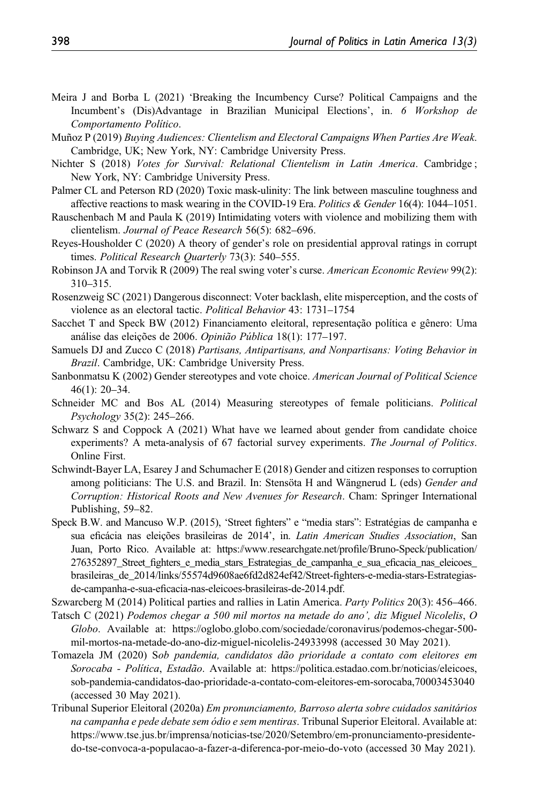- Meira J and Borba L (2021) 'Breaking the Incumbency Curse? Political Campaigns and the Incumbent's (Dis)Advantage in Brazilian Municipal Elections', in. 6 Workshop de Comportamento Político.
- Muñoz P (2019) Buying Audiences: Clientelism and Electoral Campaigns When Parties Are Weak. Cambridge, UK; New York, NY: Cambridge University Press.
- Nichter S (2018) Votes for Survival: Relational Clientelism in Latin America. Cambridge ; New York, NY: Cambridge University Press.
- Palmer CL and Peterson RD (2020) Toxic mask-ulinity: The link between masculine toughness and affective reactions to mask wearing in the COVID-19 Era. Politics & Gender 16(4):  $1044-1051$ .
- Rauschenbach M and Paula K (2019) Intimidating voters with violence and mobilizing them with clientelism. Journal of Peace Research 56(5): 682–696.
- Reyes-Housholder C (2020) A theory of gender's role on presidential approval ratings in corrupt times. Political Research Quarterly 73(3): 540-555.
- Robinson JA and Torvik R (2009) The real swing voter's curse. American Economic Review 99(2): 310–315.
- Rosenzweig SC (2021) Dangerous disconnect: Voter backlash, elite misperception, and the costs of violence as an electoral tactic. Political Behavior 43: 1731–1754
- Sacchet T and Speck BW (2012) Financiamento eleitoral, representação política e gênero: Uma análise das eleições de 2006. Opinião Pública 18(1): 177–197.
- Samuels DJ and Zucco C (2018) Partisans, Antipartisans, and Nonpartisans: Voting Behavior in Brazil. Cambridge, UK: Cambridge University Press.
- Sanbonmatsu K (2002) Gender stereotypes and vote choice. American Journal of Political Science 46(1): 20–34.
- Schneider MC and Bos AL (2014) Measuring stereotypes of female politicians. Political Psychology 35(2): 245–266.
- Schwarz S and Coppock A (2021) What have we learned about gender from candidate choice experiments? A meta-analysis of 67 factorial survey experiments. The Journal of Politics. Online First.
- Schwindt-Bayer LA, Esarey J and Schumacher E (2018) Gender and citizen responses to corruption among politicians: The U.S. and Brazil. In: Stensöta H and Wängnerud L (eds) Gender and Corruption: Historical Roots and New Avenues for Research. Cham: Springer International Publishing, 59–82.
- Speck B.W. and Mancuso W.P. (2015), 'Street fighters" e "media stars": Estratégias de campanha e sua eficácia nas eleições brasileiras de 2014', in. Latin American Studies Association, San Juan, Porto Rico. Available at: [https://www.researchgate.net/pro](https://www.researchgate.net/profile/Bruno-Speck/publication/276352897_Street_fighters_e_media_stars_Estrategias_de_campanha_e_sua_eficacia_nas_eleicoes_brasileiras_de_2014/links/55574d9608ae6fd2d824ef42/Street-fighters-e-media-stars-Estrategias-de-campanha-e-sua-eficacia-nas-eleicoes-brasileiras-de-2014.pdf)file/Bruno-Speck/publication/ 276352897\_Street\_fi[ghters\\_e\\_media\\_stars\\_Estrategias\\_de\\_campanha\\_e\\_sua\\_e](https://www.researchgate.net/profile/Bruno-Speck/publication/276352897_Street_fighters_e_media_stars_Estrategias_de_campanha_e_sua_eficacia_nas_eleicoes_brasileiras_de_2014/links/55574d9608ae6fd2d824ef42/Street-fighters-e-media-stars-Estrategias-de-campanha-e-sua-eficacia-nas-eleicoes-brasileiras-de-2014.pdf)ficacia\_nas\_eleicoes\_ [brasileiras\\_de\\_2014/links/55574d9608ae6fd2d824ef42/Street-](https://www.researchgate.net/profile/Bruno-Speck/publication/276352897_Street_fighters_e_media_stars_Estrategias_de_campanha_e_sua_eficacia_nas_eleicoes_brasileiras_de_2014/links/55574d9608ae6fd2d824ef42/Street-fighters-e-media-stars-Estrategias-de-campanha-e-sua-eficacia-nas-eleicoes-brasileiras-de-2014.pdf)fighters-e-media-stars-Estrategiasde-campanha-e-sua-efi[cacia-nas-eleicoes-brasileiras-de-2014.pdf.](https://www.researchgate.net/profile/Bruno-Speck/publication/276352897_Street_fighters_e_media_stars_Estrategias_de_campanha_e_sua_eficacia_nas_eleicoes_brasileiras_de_2014/links/55574d9608ae6fd2d824ef42/Street-fighters-e-media-stars-Estrategias-de-campanha-e-sua-eficacia-nas-eleicoes-brasileiras-de-2014.pdf)

Szwarcberg M (2014) Political parties and rallies in Latin America. Party Politics 20(3): 456–466.

- Tatsch C (2021) Podemos chegar a 500 mil mortos na metade do ano', diz Miguel Nicolelis, O Globo. Available at: [https://oglobo.globo.com/sociedade/coronavirus/podemos-chegar-500](https://oglobo.globo.com/sociedade/coronavirus/podemos-chegar-500-mil-mortos-na-metade-do-ano-diz-miguel-nicolelis-24933998) [mil-mortos-na-metade-do-ano-diz-miguel-nicolelis-24933998](https://oglobo.globo.com/sociedade/coronavirus/podemos-chegar-500-mil-mortos-na-metade-do-ano-diz-miguel-nicolelis-24933998) (accessed 30 May 2021).
- Tomazela JM (2020) Sob pandemia, candidatos dão prioridade a contato com eleitores em Sorocaba - Política, Estadão. Available at: [https://politica.estadao.com.br/noticias/eleicoes,](https://politica.estadao.com.br/noticias/eleicoes,sob-pandemia-candidatos-dao-prioridade-a-contato-com-eleitores-em-sorocaba,70003453040) [sob-pandemia-candidatos-dao-prioridade-a-contato-com-eleitores-em-sorocaba,70003453040](https://politica.estadao.com.br/noticias/eleicoes,sob-pandemia-candidatos-dao-prioridade-a-contato-com-eleitores-em-sorocaba,70003453040) (accessed 30 May 2021).
- Tribunal Superior Eleitoral (2020a) Em pronunciamento, Barroso alerta sobre cuidados sanitários na campanha e pede debate sem ódio e sem mentiras. Tribunal Superior Eleitoral. Available at: [https://www.tse.jus.br/imprensa/noticias-tse/2020/Setembro/em-pronunciamento-presidente](https://www.tse.jus.br/imprensa/noticias-tse/2020/Setembro/em-pronunciamento-presidente-do-tse-convoca-a-populacao-a-fazer-a-diferenca-por-meio-do-voto)[do-tse-convoca-a-populacao-a-fazer-a-diferenca-por-meio-do-voto](https://www.tse.jus.br/imprensa/noticias-tse/2020/Setembro/em-pronunciamento-presidente-do-tse-convoca-a-populacao-a-fazer-a-diferenca-por-meio-do-voto) (accessed 30 May 2021).